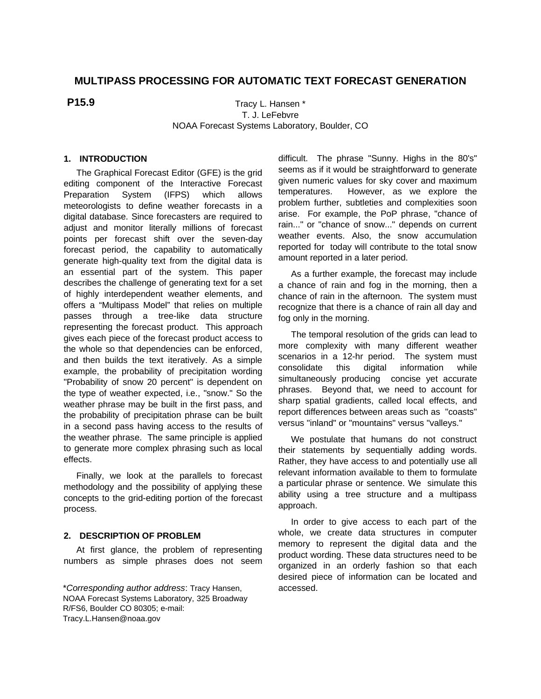# **MULTIPASS PROCESSING FOR AUTOMATIC TEXT FORECAST GENERATION**

# **P15.9**

Tracy L. Hansen \* T. J. LeFebvre NOAA Forecast Systems Laboratory, Boulder, CO

## **1. INTRODUCTION**

The Graphical Forecast Editor (GFE) is the grid editing component of the Interactive Forecast Preparation System (IFPS) which allows meteorologists to define weather forecasts in a digital database. Since forecasters are required to adjust and monitor literally millions of forecast points per forecast shift over the seven-day forecast period, the capability to automatically generate high-quality text from the digital data is an essential part of the system. This paper describes the challenge of generating text for a set of highly interdependent weather elements, and offers a "Multipass Model" that relies on multiple passes through a tree-like data structure representing the forecast product. This approach gives each piece of the forecast product access to the whole so that dependencies can be enforced, and then builds the text iteratively. As a simple example, the probability of precipitation wording "Probability of snow 20 percent" is dependent on the type of weather expected, i.e., "snow." So the weather phrase may be built in the first pass, and the probability of precipitation phrase can be built in a second pass having access to the results of the weather phrase. The same principle is applied to generate more complex phrasing such as local effects.

Finally, we look at the parallels to forecast methodology and the possibility of applying these concepts to the grid-editing portion of the forecast process.

### **2. DESCRIPTION OF PROBLEM**

At first glance, the problem of representing numbers as simple phrases does not seem difficult. The phrase "Sunny. Highs in the 80's" seems as if it would be straightforward to generate given numeric values for sky cover and maximum temperatures. However, as we explore the problem further, subtleties and complexities soon arise. For example, the PoP phrase, "chance of rain..." or "chance of snow..." depends on current weather events. Also, the snow accumulation reported for today will contribute to the total snow amount reported in a later period.

As a further example, the forecast may include a chance of rain and fog in the morning, then a chance of rain in the afternoon. The system must recognize that there is a chance of rain all day and fog only in the morning.

The temporal resolution of the grids can lead to more complexity with many different weather scenarios in a 12-hr period. The system must consolidate this digital information while simultaneously producing concise yet accurate phrases. Beyond that, we need to account for sharp spatial gradients, called local effects, and report differences between areas such as "coasts" versus "inland" or "mountains" versus "valleys."

We postulate that humans do not construct their statements by sequentially adding words. Rather, they have access to and potentially use all relevant information available to them to formulate a particular phrase or sentence. We simulate this ability using a tree structure and a multipass approach.

In order to give access to each part of the whole, we create data structures in computer memory to represent the digital data and the product wording. These data structures need to be organized in an orderly fashion so that each desired piece of information can be located and accessed.

<sup>\*</sup>Corresponding author address: Tracy Hansen, NOAA Forecast Systems Laboratory, 325 Broadway R/FS6, Boulder CO 80305; e-mail: Tracy.L.Hansen@noaa.gov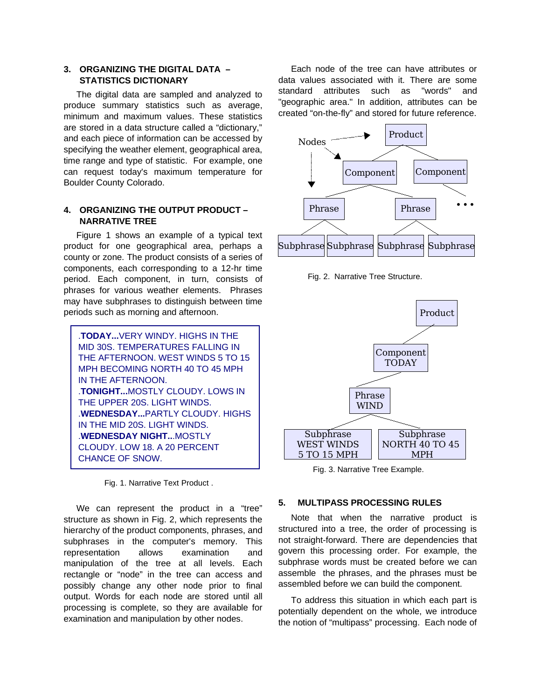## **3. ORGANIZING THE DIGITAL DATA – STATISTICS DICTIONARY**

The digital data are sampled and analyzed to produce summary statistics such as average, minimum and maximum values. These statistics are stored in a data structure called a "dictionary," and each piece of information can be accessed by specifying the weather element, geographical area, time range and type of statistic. For example, one can request today's maximum temperature for Boulder County Colorado.

## **4. ORGANIZING THE OUTPUT PRODUCT – NARRATIVE TREE**

Figure 1 shows an example of a typical text product for one geographical area, perhaps a county or zone. The product consists of a series of components, each corresponding to a 12-hr time period. Each component, in turn, consists of phrases for various weather elements. Phrases may have subphrases to distinguish between time periods such as morning and afternoon.

.**TODAY...**VERY WINDY. HIGHS IN THE MID 30S. TEMPERATURES FALLING IN THE AFTERNOON. WEST WINDS 5 TO 15 MPH BECOMING NORTH 40 TO 45 MPH IN THE AFTERNOON. .**TONIGHT...**MOSTLY CLOUDY. LOWS IN THE UPPER 20S. LIGHT WINDS. .**WEDNESDAY...**PARTLY CLOUDY. HIGHS IN THE MID 20S. LIGHT WINDS. .**WEDNESDAY NIGHT..**.MOSTLY CLOUDY. LOW 18. A 20 PERCENT CHANCE OF SNOW.

Fig. 1. Narrative Text Product .

We can represent the product in a "tree" structure as shown in Fig. 2, which represents the hierarchy of the product components, phrases, and subphrases in the computer's memory. This representation allows examination and manipulation of the tree at all levels. Each rectangle or "node" in the tree can access and possibly change any other node prior to final output. Words for each node are stored until all processing is complete, so they are available for examination and manipulation by other nodes.

Each node of the tree can have attributes or data values associated with it. There are some standard attributes such as "words" and "geographic area." In addition, attributes can be created "on-the-fly" and stored for future reference.



Fig. 2. Narrative Tree Structure.



Fig. 3. Narrative Tree Example.

#### **5. MULTIPASS PROCESSING RULES**

Note that when the narrative product is structured into a tree, the order of processing is not straight-forward. There are dependencies that govern this processing order. For example, the subphrase words must be created before we can assemble the phrases, and the phrases must be assembled before we can build the component.

To address this situation in which each part is potentially dependent on the whole, we introduce the notion of "multipass" processing. Each node of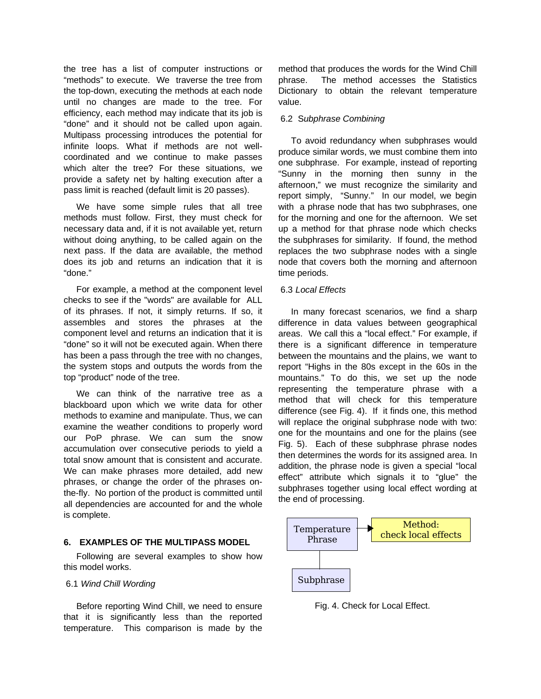the tree has a list of computer instructions or "methods" to execute. We traverse the tree from the top-down, executing the methods at each node until no changes are made to the tree. For efficiency, each method may indicate that its job is "done" and it should not be called upon again. Multipass processing introduces the potential for infinite loops. What if methods are not wellcoordinated and we continue to make passes which alter the tree? For these situations, we provide a safety net by halting execution after a pass limit is reached (default limit is 20 passes).

We have some simple rules that all tree methods must follow. First, they must check for necessary data and, if it is not available yet, return without doing anything, to be called again on the next pass. If the data are available, the method does its job and returns an indication that it is "done."

For example, a method at the component level checks to see if the "words" are available for ALL of its phrases. If not, it simply returns. If so, it assembles and stores the phrases at the component level and returns an indication that it is "done" so it will not be executed again. When there has been a pass through the tree with no changes, the system stops and outputs the words from the top "product" node of the tree.

We can think of the narrative tree as a blackboard upon which we write data for other methods to examine and manipulate. Thus, we can examine the weather conditions to properly word our PoP phrase. We can sum the snow accumulation over consecutive periods to yield a total snow amount that is consistent and accurate. We can make phrases more detailed, add new phrases, or change the order of the phrases onthe-fly. No portion of the product is committed until all dependencies are accounted for and the whole is complete.

### **6. EXAMPLES OF THE MULTIPASS MODEL**

Following are several examples to show how this model works.

#### 6.1 Wind Chill Wording

Before reporting Wind Chill, we need to ensure that it is significantly less than the reported temperature. This comparison is made by the method that produces the words for the Wind Chill phrase. The method accesses the Statistics Dictionary to obtain the relevant temperature value.

#### 6.2 Subphrase Combining

To avoid redundancy when subphrases would produce similar words, we must combine them into one subphrase. For example, instead of reporting "Sunny in the morning then sunny in the afternoon," we must recognize the similarity and report simply, "Sunny." In our model, we begin with a phrase node that has two subphrases, one for the morning and one for the afternoon. We set up a method for that phrase node which checks the subphrases for similarity. If found, the method replaces the two subphrase nodes with a single node that covers both the morning and afternoon time periods.

#### 6.3 Local Effects

In many forecast scenarios, we find a sharp difference in data values between geographical areas. We call this a "local effect." For example, if there is a significant difference in temperature between the mountains and the plains, we want to report "Highs in the 80s except in the 60s in the mountains." To do this, we set up the node representing the temperature phrase with a method that will check for this temperature difference (see Fig. 4). If it finds one, this method will replace the original subphrase node with two: one for the mountains and one for the plains (see Fig. 5). Each of these subphrase phrase nodes then determines the words for its assigned area. In addition, the phrase node is given a special "local effect" attribute which signals it to "glue" the subphrases together using local effect wording at the end of processing.



Fig. 4. Check for Local Effect.